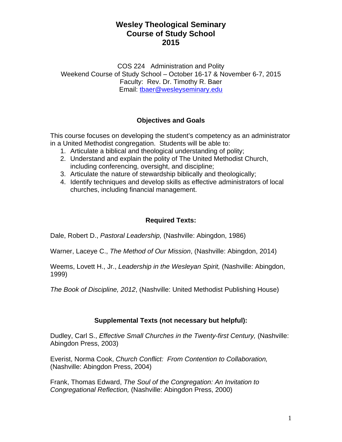COS 224 Administration and Polity Weekend Course of Study School – October 16-17 & November 6-7, 2015 Faculty: Rev. Dr. Timothy R. Baer Email: tbaer@wesleyseminary.edu

## **Objectives and Goals**

This course focuses on developing the student's competency as an administrator in a United Methodist congregation. Students will be able to:

- 1. Articulate a biblical and theological understanding of polity;
- 2. Understand and explain the polity of The United Methodist Church, including conferencing, oversight, and discipline;
- 3. Articulate the nature of stewardship biblically and theologically;
- 4. Identify techniques and develop skills as effective administrators of local churches, including financial management.

## **Required Texts:**

Dale, Robert D., *Pastoral Leadership,* (Nashville: Abingdon, 1986)

Warner, Laceye C., *The Method of Our Mission*, (Nashville: Abingdon, 2014)

Weems, Lovett H., Jr., *Leadership in the Wesleyan Spirit,* (Nashville: Abingdon, 1999)

*The Book of Discipline, 2012*, (Nashville: United Methodist Publishing House)

### **Supplemental Texts (not necessary but helpful):**

Dudley, Carl S., *Effective Small Churches in the Twenty-first Century,* (Nashville: Abingdon Press, 2003)

Everist, Norma Cook, *Church Conflict: From Contention to Collaboration,* (Nashville: Abingdon Press, 2004)

Frank, Thomas Edward, *The Soul of the Congregation: An Invitation to Congregational Reflection,* (Nashville: Abingdon Press, 2000)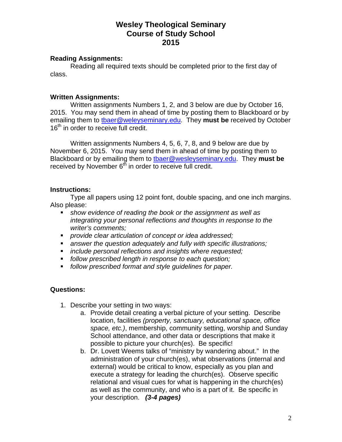#### **Reading Assignments:**

 Reading all required texts should be completed prior to the first day of class.

### **Written Assignments:**

 Written assignments Numbers 1, 2, and 3 below are due by October 16, 2015. You may send them in ahead of time by posting them to Blackboard or by emailing them to tbaer@weleyseminary.edu. They **must be** received by October 16<sup>th</sup> in order to receive full credit.

 Written assignments Numbers 4, 5, 6, 7, 8, and 9 below are due by November 6, 2015. You may send them in ahead of time by posting them to Blackboard or by emailing them to tbaer@wesleyseminary.edu. They **must be** received by November  $6<sup>th</sup>$  in order to receive full credit.

#### **Instructions:**

 Type all papers using 12 point font, double spacing, and one inch margins. Also please:

- *show evidence of reading the book or the assignment as well as integrating your personal reflections and thoughts in response to the writer's comments;*
- *provide clear articulation of concept or idea addressed;*
- *answer the question adequately and fully with specific illustrations;*
- *include personal reflections and insights where requested;*
- *follow prescribed length in response to each question;*
- *follow prescribed format and style guidelines for paper.*

### **Questions:**

- 1. Describe your setting in two ways:
	- a. Provide detail creating a verbal picture of your setting. Describe location, facilities *(property, sanctuary, educational space, office space, etc.)*, membership, community setting, worship and Sunday School attendance, and other data or descriptions that make it possible to picture your church(es). Be specific!
	- b. Dr. Lovett Weems talks of "ministry by wandering about." In the administration of your church(es), what observations (internal and external) would be critical to know, especially as you plan and execute a strategy for leading the church(es). Observe specific relational and visual cues for what is happening in the church(es) as well as the community, and who is a part of it. Be specific in your description. *(3-4 pages)*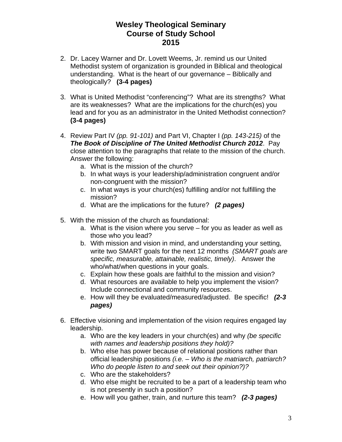- 2. Dr. Lacey Warner and Dr. Lovett Weems, Jr. remind us our United Methodist system of organization is grounded in Biblical and theological understanding. What is the heart of our governance – Biblically and theologically? **(3-4 pages)**
- 3. What is United Methodist "conferencing"? What are its strengths? What are its weaknesses? What are the implications for the church(es) you lead and for you as an administrator in the United Methodist connection? **(3-4 pages)**
- 4. Review Part IV *(pp. 91-101)* and Part VI, Chapter I *(pp. 143-215)* of the *The Book of Discipline of The United Methodist Church 2012*. Pay close attention to the paragraphs that relate to the mission of the church. Answer the following:
	- a. What is the mission of the church?
	- b. In what ways is your leadership/administration congruent and/or non-congruent with the mission?
	- c. In what ways is your church(es) fulfilling and/or not fulfilling the mission?
	- d. What are the implications for the future? *(2 pages)*
- 5. With the mission of the church as foundational:
	- a. What is the vision where you serve for you as leader as well as those who you lead?
	- b. With mission and vision in mind, and understanding your setting, write two SMART goals for the next 12 months *(SMART goals are specific, measurable, attainable, realistic, timely)*. Answer the who/what/when questions in your goals.
	- c. Explain how these goals are faithful to the mission and vision?
	- d. What resources are available to help you implement the vision? Include connectional and community resources.
	- e. How will they be evaluated/measured/adjusted. Be specific! *(2-3 pages)*
- 6. Effective visioning and implementation of the vision requires engaged lay leadership.
	- a. Who are the key leaders in your church(es) and why *(be specific with names and leadership positions they hold)?*
	- b. Who else has power because of relational positions rather than official leadership positions *(i.e. – Who is the matriarch, patriarch? Who do people listen to and seek out their opinion?)?*
	- c. Who are the stakeholders?
	- d. Who else might be recruited to be a part of a leadership team who is not presently in such a position?
	- e. How will you gather, train, and nurture this team? *(2-3 pages)*